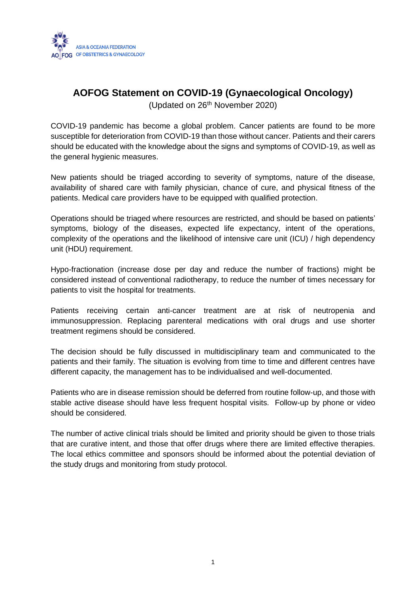

# **AOFOG Statement on COVID-19 (Gynaecological Oncology)**

(Updated on 26th November 2020)

COVID-19 pandemic has become a global problem. Cancer patients are found to be more susceptible for deterioration from COVID-19 than those without cancer. Patients and their carers should be educated with the knowledge about the signs and symptoms of COVID-19, as well as the general hygienic measures.

New patients should be triaged according to severity of symptoms, nature of the disease, availability of shared care with family physician, chance of cure, and physical fitness of the patients. Medical care providers have to be equipped with qualified protection.

Operations should be triaged where resources are restricted, and should be based on patients' symptoms, biology of the diseases, expected life expectancy, intent of the operations, complexity of the operations and the likelihood of intensive care unit (ICU) / high dependency unit (HDU) requirement.

Hypo-fractionation (increase dose per day and reduce the number of fractions) might be considered instead of conventional radiotherapy, to reduce the number of times necessary for patients to visit the hospital for treatments.

Patients receiving certain anti-cancer treatment are at risk of neutropenia and immunosuppression. Replacing parenteral medications with oral drugs and use shorter treatment regimens should be considered.

The decision should be fully discussed in multidisciplinary team and communicated to the patients and their family. The situation is evolving from time to time and different centres have different capacity, the management has to be individualised and well-documented.

Patients who are in disease remission should be deferred from routine follow-up, and those with stable active disease should have less frequent hospital visits. Follow-up by phone or video should be considered.

The number of active clinical trials should be limited and priority should be given to those trials that are curative intent, and those that offer drugs where there are limited effective therapies. The local ethics committee and sponsors should be informed about the potential deviation of the study drugs and monitoring from study protocol.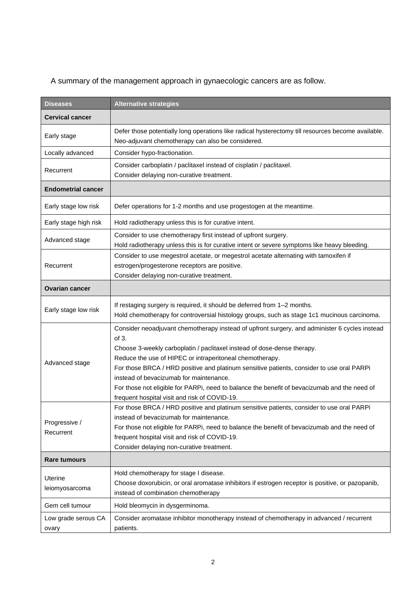A summary of the management approach in gynaecologic cancers are as follow.

| <b>Diseases</b>              | <b>Alternative strategies</b>                                                                                                                                                                                                                                                                                                                                                                                                                                                                                                          |
|------------------------------|----------------------------------------------------------------------------------------------------------------------------------------------------------------------------------------------------------------------------------------------------------------------------------------------------------------------------------------------------------------------------------------------------------------------------------------------------------------------------------------------------------------------------------------|
| <b>Cervical cancer</b>       |                                                                                                                                                                                                                                                                                                                                                                                                                                                                                                                                        |
| Early stage                  | Defer those potentially long operations like radical hysterectomy till resources become available.<br>Neo-adjuvant chemotherapy can also be considered.                                                                                                                                                                                                                                                                                                                                                                                |
| Locally advanced             | Consider hypo-fractionation.                                                                                                                                                                                                                                                                                                                                                                                                                                                                                                           |
| Recurrent                    | Consider carboplatin / paclitaxel instead of cisplatin / paclitaxel.<br>Consider delaying non-curative treatment.                                                                                                                                                                                                                                                                                                                                                                                                                      |
| <b>Endometrial cancer</b>    |                                                                                                                                                                                                                                                                                                                                                                                                                                                                                                                                        |
| Early stage low risk         | Defer operations for 1-2 months and use progestogen at the meantime.                                                                                                                                                                                                                                                                                                                                                                                                                                                                   |
| Early stage high risk        | Hold radiotherapy unless this is for curative intent.                                                                                                                                                                                                                                                                                                                                                                                                                                                                                  |
| Advanced stage               | Consider to use chemotherapy first instead of upfront surgery.<br>Hold radiotherapy unless this is for curative intent or severe symptoms like heavy bleeding.                                                                                                                                                                                                                                                                                                                                                                         |
| Recurrent                    | Consider to use megestrol acetate, or megestrol acetate alternating with tamoxifen if<br>estrogen/progesterone receptors are positive.<br>Consider delaying non-curative treatment.                                                                                                                                                                                                                                                                                                                                                    |
| <b>Ovarian cancer</b>        |                                                                                                                                                                                                                                                                                                                                                                                                                                                                                                                                        |
| Early stage low risk         | If restaging surgery is required, it should be deferred from 1-2 months.<br>Hold chemotherapy for controversial histology groups, such as stage 1c1 mucinous carcinoma.                                                                                                                                                                                                                                                                                                                                                                |
| Advanced stage               | Consider neoadjuvant chemotherapy instead of upfront surgery, and administer 6 cycles instead<br>of 3.<br>Choose 3-weekly carboplatin / paclitaxel instead of dose-dense therapy.<br>Reduce the use of HIPEC or intraperitoneal chemotherapy.<br>For those BRCA / HRD positive and platinum sensitive patients, consider to use oral PARPi<br>instead of bevacizumab for maintenance.<br>For those not eligible for PARPi, need to balance the benefit of bevacizumab and the need of<br>frequent hospital visit and risk of COVID-19. |
| Progressive /<br>Recurrent   | For those BRCA / HRD positive and platinum sensitive patients, consider to use oral PARPi<br>instead of bevacizumab for maintenance.<br>For those not eligible for PARPi, need to balance the benefit of bevacizumab and the need of<br>frequent hospital visit and risk of COVID-19.<br>Consider delaying non-curative treatment.                                                                                                                                                                                                     |
| <b>Rare tumours</b>          |                                                                                                                                                                                                                                                                                                                                                                                                                                                                                                                                        |
| Uterine<br>leiomyosarcoma    | Hold chemotherapy for stage I disease.<br>Choose doxorubicin, or oral aromatase inhibitors if estrogen receptor is positive, or pazopanib,<br>instead of combination chemotherapy                                                                                                                                                                                                                                                                                                                                                      |
| Gem cell tumour              | Hold bleomycin in dysgerminoma.                                                                                                                                                                                                                                                                                                                                                                                                                                                                                                        |
| Low grade serous CA<br>ovary | Consider aromatase inhibitor monotherapy instead of chemotherapy in advanced / recurrent<br>patients.                                                                                                                                                                                                                                                                                                                                                                                                                                  |